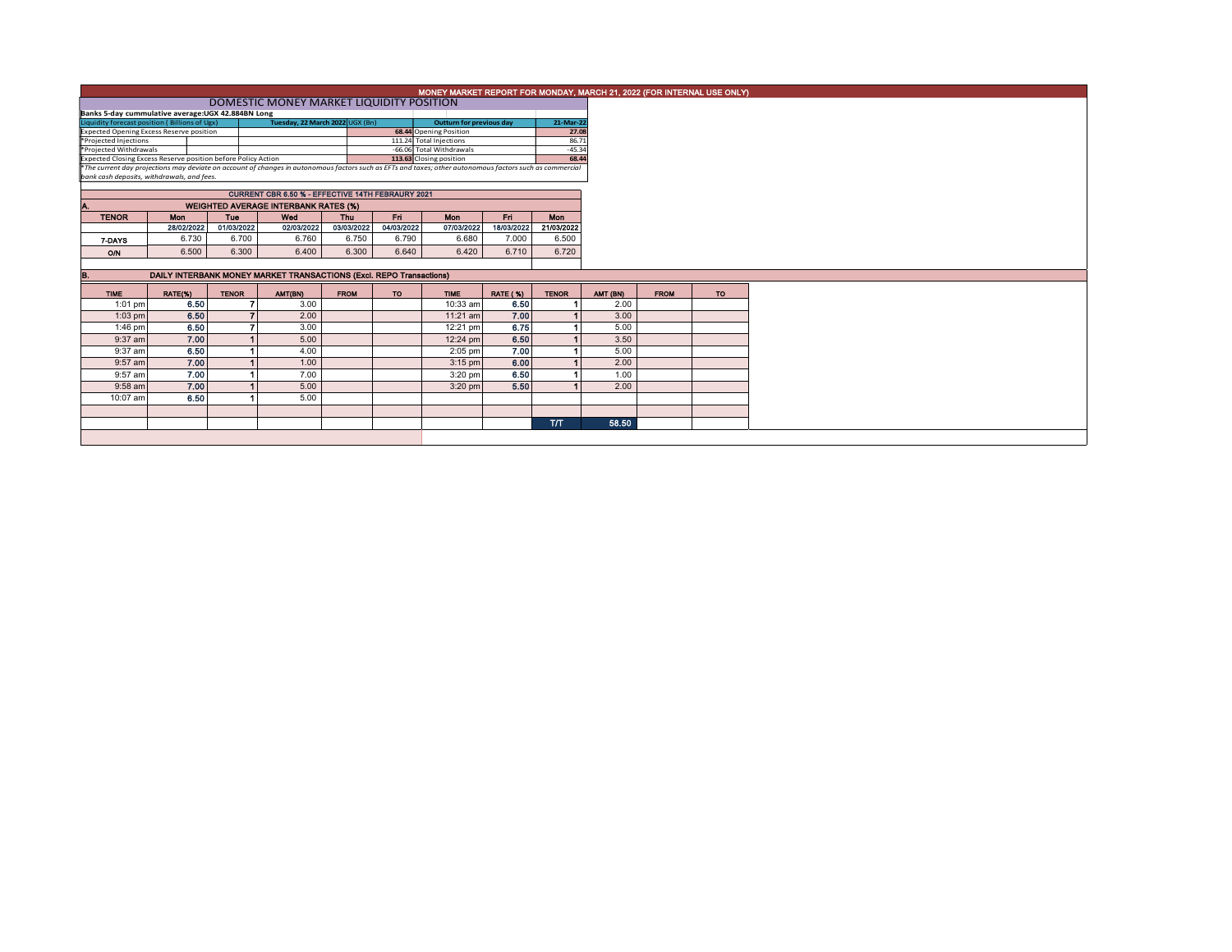|                                                                                  | MONEY MARKET REPORT FOR MONDAY, MARCH 21, 2022 (FOR INTERNAL USE ONLY)                                                                                                                                 |                                                     |                                             |                   |                   |                        |                                 |                          |          |             |     |  |  |  |
|----------------------------------------------------------------------------------|--------------------------------------------------------------------------------------------------------------------------------------------------------------------------------------------------------|-----------------------------------------------------|---------------------------------------------|-------------------|-------------------|------------------------|---------------------------------|--------------------------|----------|-------------|-----|--|--|--|
|                                                                                  |                                                                                                                                                                                                        |                                                     |                                             |                   |                   |                        |                                 |                          |          |             |     |  |  |  |
| Banks 5-day cummulative average:UGX 42.884BN Long                                |                                                                                                                                                                                                        |                                                     |                                             |                   |                   |                        |                                 |                          |          |             |     |  |  |  |
| Tuesday, 22 March 2022 UGX (Bn)<br>Liquidity forecast position (Billions of Ugx) |                                                                                                                                                                                                        |                                                     |                                             |                   |                   |                        | <b>Outturn for previous day</b> | 21-Mar-22                |          |             |     |  |  |  |
| <b>Expected Opening Excess Reserve position</b>                                  |                                                                                                                                                                                                        |                                                     |                                             |                   |                   | 68.44 Opening Position |                                 | 27.08                    |          |             |     |  |  |  |
| 111.24 Total Injections<br>*Projected Injections<br>*Projected Withdrawals       |                                                                                                                                                                                                        |                                                     |                                             |                   |                   |                        |                                 | 86.71<br>$-45.34$        |          |             |     |  |  |  |
| Expected Closing Excess Reserve position before Policy Action                    |                                                                                                                                                                                                        | -66.06 Total Withdrawals<br>113.63 Closing position |                                             | 68.44             |                   |                        |                                 |                          |          |             |     |  |  |  |
|                                                                                  |                                                                                                                                                                                                        |                                                     |                                             |                   |                   |                        |                                 |                          |          |             |     |  |  |  |
|                                                                                  | *The current day projections may deviate on account of changes in autonomous factors such as EFTs and taxes; other autonomous factors such as commercial<br>bank cash deposits, withdrawals, and fees, |                                                     |                                             |                   |                   |                        |                                 |                          |          |             |     |  |  |  |
|                                                                                  |                                                                                                                                                                                                        |                                                     |                                             |                   |                   |                        |                                 |                          |          |             |     |  |  |  |
|                                                                                  |                                                                                                                                                                                                        |                                                     |                                             |                   |                   |                        |                                 |                          |          |             |     |  |  |  |
|                                                                                  |                                                                                                                                                                                                        |                                                     | <b>WEIGHTED AVERAGE INTERBANK RATES (%)</b> |                   |                   |                        |                                 |                          |          |             |     |  |  |  |
| <b>TENOR</b>                                                                     | Mon<br>28/02/2022                                                                                                                                                                                      | <b>Tue</b><br>01/03/2022                            | Wed<br>02/03/2022                           | Thu<br>03/03/2022 | Fri<br>04/03/2022 | Mon<br>07/03/2022      | Fri<br>18/03/2022               | <b>Mon</b><br>21/03/2022 |          |             |     |  |  |  |
|                                                                                  |                                                                                                                                                                                                        |                                                     |                                             |                   |                   |                        |                                 |                          |          |             |     |  |  |  |
| 7-DAYS                                                                           | 6.730                                                                                                                                                                                                  | 6.700                                               | 6.760                                       | 6.750             | 6.790             | 6.680                  | 7.000                           | 6.500                    |          |             |     |  |  |  |
| O/N                                                                              | 6.500                                                                                                                                                                                                  | 6.300                                               | 6.400                                       | 6.300             | 6.640             | 6.420                  | 6.710                           | 6.720                    |          |             |     |  |  |  |
|                                                                                  |                                                                                                                                                                                                        |                                                     |                                             |                   |                   |                        |                                 |                          |          |             |     |  |  |  |
| В.                                                                               | DAILY INTERBANK MONEY MARKET TRANSACTIONS (Excl. REPO Transactions)                                                                                                                                    |                                                     |                                             |                   |                   |                        |                                 |                          |          |             |     |  |  |  |
|                                                                                  |                                                                                                                                                                                                        |                                                     |                                             |                   |                   |                        |                                 |                          |          |             |     |  |  |  |
| <b>TIME</b>                                                                      | RATE(%)                                                                                                                                                                                                | <b>TENOR</b>                                        | AMT(BN)                                     | <b>FROM</b>       | <b>TO</b>         | <b>TIME</b>            | <b>RATE (%)</b>                 | <b>TENOR</b>             | AMT (BN) | <b>FROM</b> | TO. |  |  |  |
| $1:01$ pm                                                                        | 6.50                                                                                                                                                                                                   |                                                     | 3.00                                        |                   |                   | 10:33 am               | 6.50                            |                          | 2.00     |             |     |  |  |  |
| $1:03$ pm                                                                        | 6.50                                                                                                                                                                                                   |                                                     | 2.00                                        |                   |                   | $11:21$ am             | 7.00                            |                          | 3.00     |             |     |  |  |  |
| 1:46 pm                                                                          | 6.50                                                                                                                                                                                                   |                                                     | 3.00                                        |                   |                   | 12:21 pm               | 6.75                            |                          | 5.00     |             |     |  |  |  |
| 9:37 am                                                                          | 7.00                                                                                                                                                                                                   |                                                     | 5.00                                        |                   |                   | 12:24 pm               | 6.50                            |                          | 3.50     |             |     |  |  |  |
| 9:37 am                                                                          | 6.50                                                                                                                                                                                                   |                                                     | 4.00                                        |                   |                   | $2:05$ pm              | 7.00                            |                          | 5.00     |             |     |  |  |  |
| 9:57 am                                                                          | 7.00                                                                                                                                                                                                   |                                                     | 1.00                                        |                   |                   | $3:15$ pm              | 6.00                            |                          | 2.00     |             |     |  |  |  |
| 9:57 am                                                                          | 7.00                                                                                                                                                                                                   |                                                     | 7.00                                        |                   |                   | $3:20$ pm              | 6.50                            |                          | 1.00     |             |     |  |  |  |
| 9:58 am                                                                          | 7.00                                                                                                                                                                                                   |                                                     | 5.00                                        |                   |                   | $3:20$ pm              | 5.50                            |                          | 2.00     |             |     |  |  |  |
| 10:07 am                                                                         | 6.50                                                                                                                                                                                                   |                                                     | 5.00                                        |                   |                   |                        |                                 |                          |          |             |     |  |  |  |
|                                                                                  |                                                                                                                                                                                                        |                                                     |                                             |                   |                   |                        |                                 |                          |          |             |     |  |  |  |
|                                                                                  |                                                                                                                                                                                                        |                                                     |                                             |                   |                   |                        |                                 | <b>T/T</b>               | 58.50    |             |     |  |  |  |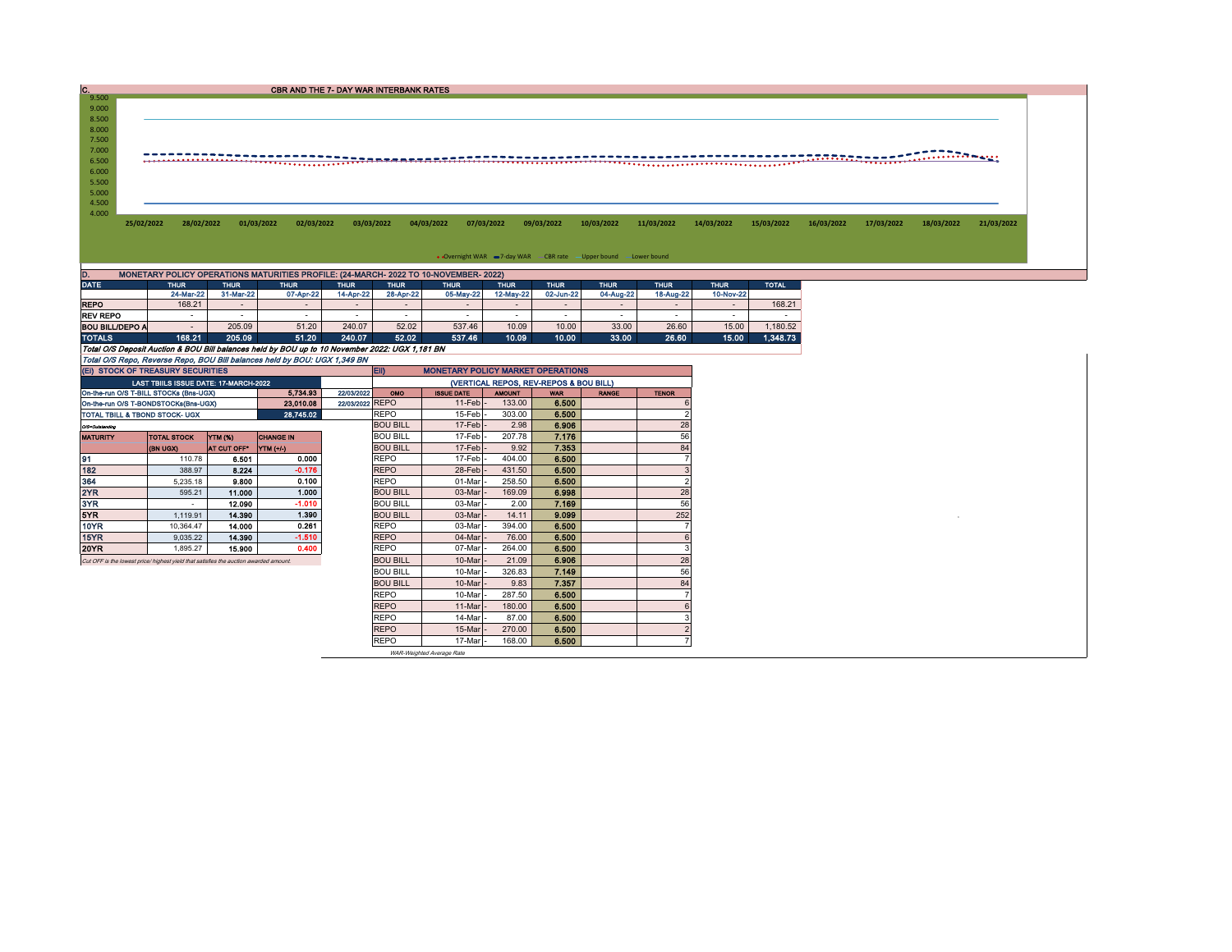| C.    |                                                                                      |            | <b>CBR AND THE 7- DAY WAR INTERBANK RATES</b> |            |            |            |                                                                    |            |            |            |            |            |            |            |            |
|-------|--------------------------------------------------------------------------------------|------------|-----------------------------------------------|------------|------------|------------|--------------------------------------------------------------------|------------|------------|------------|------------|------------|------------|------------|------------|
| 9.500 |                                                                                      |            |                                               |            |            |            |                                                                    |            |            |            |            |            |            |            |            |
| 9.000 |                                                                                      |            |                                               |            |            |            |                                                                    |            |            |            |            |            |            |            |            |
| 8.500 |                                                                                      |            |                                               |            |            |            |                                                                    |            |            |            |            |            |            |            |            |
| 8.000 |                                                                                      |            |                                               |            |            |            |                                                                    |            |            |            |            |            |            |            |            |
| 7.500 |                                                                                      |            |                                               |            |            |            |                                                                    |            |            |            |            |            |            |            |            |
| 7.000 |                                                                                      |            |                                               |            |            |            |                                                                    |            |            |            |            |            |            |            |            |
| 6.500 |                                                                                      |            |                                               |            |            |            |                                                                    |            |            |            |            |            |            |            |            |
| 6.000 |                                                                                      |            |                                               |            |            |            |                                                                    |            |            |            |            |            |            |            |            |
|       |                                                                                      |            |                                               |            |            |            |                                                                    |            |            |            |            |            |            |            |            |
| 5.500 |                                                                                      |            |                                               |            |            |            |                                                                    |            |            |            |            |            |            |            |            |
| 5.000 |                                                                                      |            |                                               |            |            |            |                                                                    |            |            |            |            |            |            |            |            |
| 4.500 |                                                                                      |            |                                               |            |            |            |                                                                    |            |            |            |            |            |            |            |            |
| 4.000 |                                                                                      |            |                                               |            |            |            |                                                                    |            |            |            |            |            |            |            |            |
|       | 28/02/2022<br>25/02/2022                                                             | 01/03/2022 | 02/03/2022                                    | 03/03/2022 | 04/03/2022 | 07/03/2022 | 09/03/2022                                                         | 10/03/2022 | 11/03/2022 | 14/03/2022 | 15/03/2022 | 16/03/2022 | 17/03/2022 | 18/03/2022 | 21/03/2022 |
|       |                                                                                      |            |                                               |            |            |            |                                                                    |            |            |            |            |            |            |            |            |
|       |                                                                                      |            |                                               |            |            |            |                                                                    |            |            |            |            |            |            |            |            |
|       |                                                                                      |            |                                               |            |            |            | • Overnight WAR = 7-day WAR - CBR rate - Upper bound - Lower bound |            |            |            |            |            |            |            |            |
| D.    | MONETARY POLICY OPERATIONS MATURITIES PROFILE: (24-MARCH- 2022 TO 10-NOVEMBER- 2022) |            |                                               |            |            |            |                                                                    |            |            |            |            |            |            |            |            |

 $\overline{\phantom{0}}$ 

| ----                                                                                           |           |           | .                        |           | .         | .         |           |           | $\cdots$  |                          | $\cdots$                 | .        |
|------------------------------------------------------------------------------------------------|-----------|-----------|--------------------------|-----------|-----------|-----------|-----------|-----------|-----------|--------------------------|--------------------------|----------|
|                                                                                                | 24-Mar-22 | 31-Mar-22 | 07-Apr-22                | 14-Apr-22 | 28-Apr-22 | 05-May-22 | 12-May-22 | 02-Jun-22 | 04-Aug-22 | 18-Aug-22                | 10-Nov-22                |          |
| <b>REPO</b>                                                                                    | 168.21    |           | $\overline{\phantom{a}}$ | -         |           |           |           |           |           | $\overline{\phantom{0}}$ | $\overline{\phantom{0}}$ | 168.21   |
| <b>REV REPO</b>                                                                                | -         | -         | $\overline{\phantom{a}}$ | $\sim$    |           |           |           |           |           | -                        | <b>Contract</b>          |          |
| <b>BOU BILL/DEPO A</b>                                                                         |           | 205.09    | 51.20                    | 240.07    | 52.02     | 537.46    | 10.09     | 10.00     | 33.00     | 26.60                    | 15.00                    | 1.180.52 |
| <b>TOTALS</b>                                                                                  | 168.21    | 205.09    | 51.20                    | 240.07    | 52.02     | 537.46    | 10.09     | 10.00     | 33.00     | 26.60                    | 15.00                    | 1.348.73 |
| Total O/S Deposit Auction & BOU Bill balances held by BOU up to 10 November 2022: UGX 1,181 BN |           |           |                          |           |           |           |           |           |           |                          |                          |          |
| Total O/S Repo, Reverse Repo, BOU Bill balances held by BOU: UGX 1,349 BN                      |           |           |                          |           |           |           |           |           |           |                          |                          |          |

| (EI) STOCK OF TREASURY SECURITIES                                                     |                                              | <b>ED</b><br><b>MONETARY POLICY MARKET OPERATIONS</b> |                                        |               |                 |                 |              |       |  |     |
|---------------------------------------------------------------------------------------|----------------------------------------------|-------------------------------------------------------|----------------------------------------|---------------|-----------------|-----------------|--------------|-------|--|-----|
|                                                                                       | <b>LAST TBIILS ISSUE DATE: 17-MARCH-2022</b> |                                                       | (VERTICAL REPOS, REV-REPOS & BOU BILL) |               |                 |                 |              |       |  |     |
| On-the-run O/S T-BILL STOCKs (Bns-UGX)                                                |                                              | 22/03/2022<br>OMO                                     | <b>ISSUE DATE</b>                      | <b>AMOUNT</b> | <b>WAR</b>      | <b>RANGE</b>    | <b>TENOR</b> |       |  |     |
| On-the-run O/S T-BONDSTOCKs(Bns-UGX)                                                  |                                              | 22/03/2022 REPO                                       |                                        | 11-Feb        | 133.00          | 6.500           |              |       |  |     |
| TOTAL TBILL & TBOND STOCK- UGX                                                        |                                              | <b>REPO</b>                                           | 15-Feb                                 | 303.00        | 6.500           |                 |              |       |  |     |
| O/S=Outstanding                                                                       |                                              |                                                       |                                        |               | <b>BOU BILL</b> | 17-Feb          | 2.98         | 6.906 |  | 28  |
| <b>MATURITY</b>                                                                       | <b>TOTAL STOCK</b>                           | <b>YTM (%)</b>                                        | <b>CHANGE IN</b>                       |               | <b>BOU BILL</b> | 17-Feb-         | 207.78       | 7.176 |  | 56  |
|                                                                                       | <b>(BN UGX)</b>                              | <b>AT CUT OFF"</b>                                    | <b>YTM (+/-)</b>                       |               | <b>BOU BILL</b> | $17-Feb$        | 9.92         | 7.353 |  | 84  |
| 91                                                                                    | 110.78                                       | 6.501                                                 | 0.000                                  |               | <b>REPO</b>     | 17-Feb          | 404.00       | 6.500 |  |     |
| 182                                                                                   | 388.97                                       | 8.224                                                 | $-0.176$                               |               | <b>REPO</b>     | 28-Feb          | 431.50       | 6.500 |  | 3   |
| 364                                                                                   | 5.235.18                                     | 9.800                                                 | 0.100                                  |               | <b>REPO</b>     | 01-Mar          | 258.50       | 6.500 |  |     |
| 2YR                                                                                   | 595.21                                       | 11.000                                                | 1.000                                  |               | <b>BOU BILL</b> | 03-Mar          | 169.09       | 6.998 |  | 28  |
| 3YR                                                                                   |                                              | 12.090                                                | $-1.010$                               |               | <b>BOU BILL</b> | 03-Mar          | 2.00         | 7.169 |  | 56  |
| 5YR                                                                                   | 1.119.91                                     | 14.390                                                | 1.390                                  |               | <b>BOU BILL</b> | 03-Mar          | 14.11        | 9.099 |  | 252 |
| 10YR                                                                                  | 10.364.47                                    | 14.000                                                | 0.261                                  |               | <b>REPO</b>     | 03-Mar          | 394.00       | 6.500 |  |     |
| 15YR                                                                                  | 9,035.22                                     | 14.390                                                | $-1.510$                               |               | <b>REPO</b>     | 04-Mar          | 76.00        | 6.500 |  |     |
| 20YR                                                                                  | 1,895.27                                     | 15.900                                                | 0.400                                  |               | <b>REPO</b>     | 07-Mar          | 264.00       | 6.500 |  |     |
| Cut OFF is the lowest price/ highest yield that satisfies the auction awarded amount. |                                              |                                                       |                                        |               | <b>BOU BILL</b> | 10-Mar          | 21.09        | 6.906 |  | 28  |
|                                                                                       |                                              |                                                       |                                        |               | <b>BOU BILL</b> | 10-Mar          | 326.83       | 7.149 |  | 56  |
|                                                                                       |                                              |                                                       |                                        |               | <b>BOU BILL</b> | 10-Mar          | 9.83         | 7.357 |  | 84  |
|                                                                                       |                                              |                                                       |                                        |               | <b>REPO</b>     | 10-Mar          | 287.50       | 6.500 |  |     |
|                                                                                       |                                              |                                                       |                                        |               | <b>REPO</b>     | 11-Mar          | 180.00       | 6.500 |  |     |
|                                                                                       |                                              |                                                       |                                        |               | <b>REPO</b>     | 14-Mar          | 87.00        | 6.500 |  |     |
|                                                                                       |                                              |                                                       |                                        |               | <b>REPO</b>     | 15-Mar          | 270.00       | 6.500 |  |     |
|                                                                                       |                                              |                                                       |                                        |               | $n = n$         | $\lambda = 1.1$ | 10000        | $-$   |  |     |

REPO | 17-Mar |- 168.00 <mark>| 6.500</mark> | | | | |<br>WAR-Weighted Average Rate